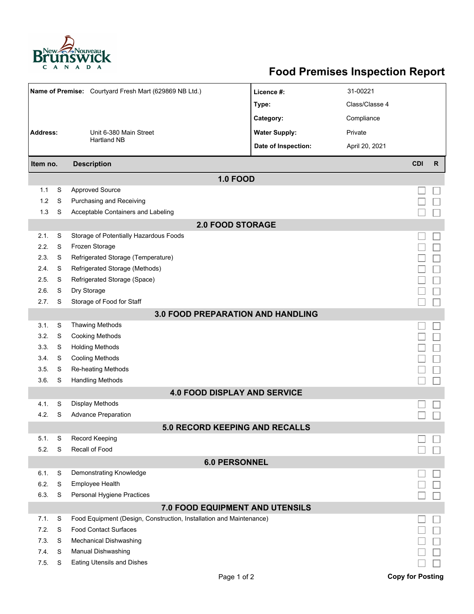

## **Food Premises Inspection Report**

| Name of Premise: Courtyard Fresh Mart (629869 NB Ltd.) |   |                                                                     | Licence #:                               | 31-00221       |                         |              |  |  |  |  |
|--------------------------------------------------------|---|---------------------------------------------------------------------|------------------------------------------|----------------|-------------------------|--------------|--|--|--|--|
|                                                        |   |                                                                     | Type:                                    | Class/Classe 4 |                         |              |  |  |  |  |
|                                                        |   |                                                                     | Category:                                | Compliance     |                         |              |  |  |  |  |
| Address:<br>Unit 6-380 Main Street                     |   |                                                                     | <b>Water Supply:</b>                     | Private        |                         |              |  |  |  |  |
|                                                        |   | <b>Hartland NB</b>                                                  | Date of Inspection:                      | April 20, 2021 |                         |              |  |  |  |  |
|                                                        |   |                                                                     |                                          |                |                         |              |  |  |  |  |
| <b>Description</b><br>Item no.                         |   |                                                                     |                                          |                | <b>CDI</b>              | $\mathsf{R}$ |  |  |  |  |
|                                                        |   |                                                                     | <b>1.0 FOOD</b>                          |                |                         |              |  |  |  |  |
| 1.1                                                    | S | <b>Approved Source</b>                                              |                                          |                |                         |              |  |  |  |  |
| 1.2                                                    | S | Purchasing and Receiving                                            |                                          |                |                         |              |  |  |  |  |
| 1.3                                                    | S | Acceptable Containers and Labeling                                  |                                          |                |                         |              |  |  |  |  |
| <b>2.0 FOOD STORAGE</b>                                |   |                                                                     |                                          |                |                         |              |  |  |  |  |
| 2.1.                                                   | S | Storage of Potentially Hazardous Foods                              |                                          |                |                         |              |  |  |  |  |
| 2.2.                                                   | S | Frozen Storage                                                      |                                          |                |                         |              |  |  |  |  |
| 2.3.                                                   | S | Refrigerated Storage (Temperature)                                  |                                          |                |                         |              |  |  |  |  |
| 2.4.                                                   | S | Refrigerated Storage (Methods)                                      |                                          |                |                         |              |  |  |  |  |
| 2.5.                                                   | S | Refrigerated Storage (Space)                                        |                                          |                |                         |              |  |  |  |  |
| 2.6.                                                   | S | Dry Storage                                                         |                                          |                |                         |              |  |  |  |  |
| 2.7.                                                   | S | Storage of Food for Staff                                           |                                          |                |                         |              |  |  |  |  |
|                                                        |   |                                                                     | <b>3.0 FOOD PREPARATION AND HANDLING</b> |                |                         |              |  |  |  |  |
| 3.1.                                                   | S | <b>Thawing Methods</b>                                              |                                          |                |                         |              |  |  |  |  |
| 3.2.                                                   | S | <b>Cooking Methods</b>                                              |                                          |                |                         |              |  |  |  |  |
| 3.3.                                                   | S | <b>Holding Methods</b>                                              |                                          |                |                         |              |  |  |  |  |
| 3.4.                                                   | S | <b>Cooling Methods</b>                                              |                                          |                |                         |              |  |  |  |  |
| 3.5.                                                   | S | Re-heating Methods                                                  |                                          |                |                         |              |  |  |  |  |
| 36.                                                    | S | <b>Handling Methods</b>                                             |                                          |                |                         |              |  |  |  |  |
|                                                        |   |                                                                     | <b>4.0 FOOD DISPLAY AND SERVICE</b>      |                |                         |              |  |  |  |  |
| 4.1.                                                   | S | Display Methods                                                     |                                          |                |                         |              |  |  |  |  |
| 4.2.                                                   | S | <b>Advance Preparation</b>                                          |                                          |                |                         |              |  |  |  |  |
|                                                        |   |                                                                     | <b>5.0 RECORD KEEPING AND RECALLS</b>    |                |                         |              |  |  |  |  |
| 5.1.                                                   | S | Record Keeping                                                      |                                          |                |                         |              |  |  |  |  |
| 5.2.                                                   | S | Recall of Food                                                      |                                          |                |                         |              |  |  |  |  |
| <b>6.0 PERSONNEL</b>                                   |   |                                                                     |                                          |                |                         |              |  |  |  |  |
| 6.1.                                                   | S | Demonstrating Knowledge                                             |                                          |                |                         |              |  |  |  |  |
| 6.2.                                                   | S | <b>Employee Health</b>                                              |                                          |                |                         |              |  |  |  |  |
| 6.3.                                                   | S | Personal Hygiene Practices                                          |                                          |                |                         |              |  |  |  |  |
| 7.0 FOOD EQUIPMENT AND UTENSILS                        |   |                                                                     |                                          |                |                         |              |  |  |  |  |
| 7.1.                                                   | S | Food Equipment (Design, Construction, Installation and Maintenance) |                                          |                |                         |              |  |  |  |  |
| 7.2.                                                   | S | <b>Food Contact Surfaces</b>                                        |                                          |                |                         |              |  |  |  |  |
| 7.3.                                                   | S | <b>Mechanical Dishwashing</b>                                       |                                          |                |                         |              |  |  |  |  |
| 7.4.                                                   | S | Manual Dishwashing                                                  |                                          |                |                         |              |  |  |  |  |
| 7.5.                                                   | S | Eating Utensils and Dishes                                          |                                          |                |                         |              |  |  |  |  |
|                                                        |   |                                                                     | Page 1 of 2                              |                | <b>Copy for Posting</b> |              |  |  |  |  |